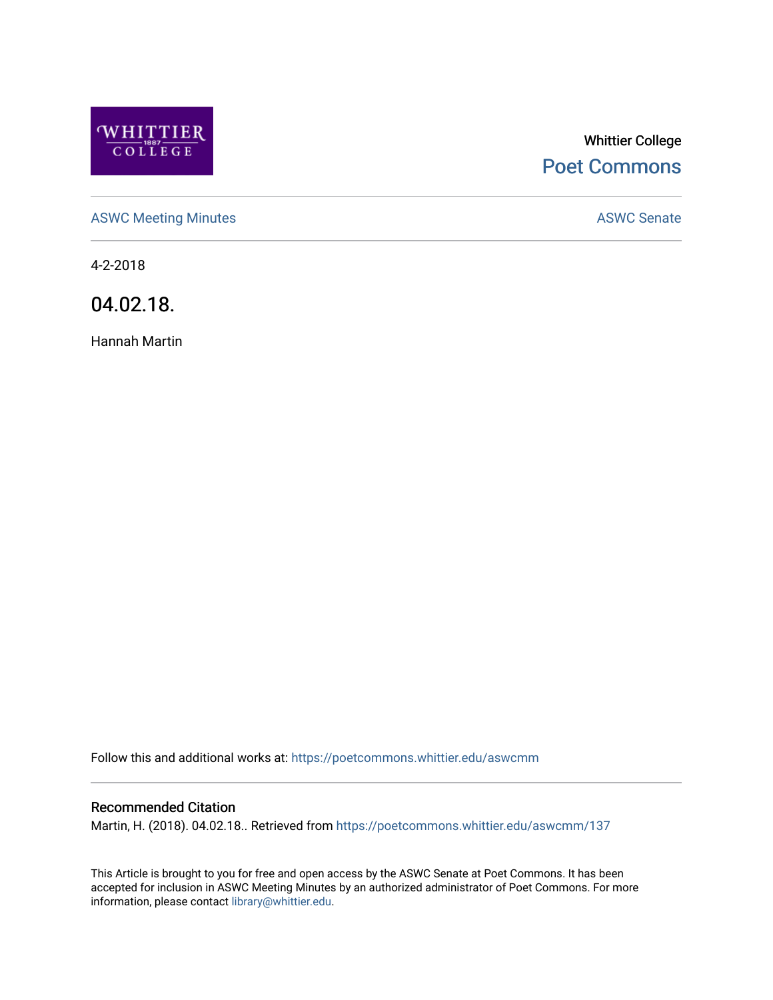

# Whittier College [Poet Commons](https://poetcommons.whittier.edu/)

[ASWC Meeting Minutes](https://poetcommons.whittier.edu/aswcmm) **ASWC Senate** 

4-2-2018

04.02.18.

Hannah Martin

Follow this and additional works at: [https://poetcommons.whittier.edu/aswcmm](https://poetcommons.whittier.edu/aswcmm?utm_source=poetcommons.whittier.edu%2Faswcmm%2F137&utm_medium=PDF&utm_campaign=PDFCoverPages)

#### Recommended Citation

Martin, H. (2018). 04.02.18.. Retrieved from [https://poetcommons.whittier.edu/aswcmm/137](https://poetcommons.whittier.edu/aswcmm/137?utm_source=poetcommons.whittier.edu%2Faswcmm%2F137&utm_medium=PDF&utm_campaign=PDFCoverPages) 

This Article is brought to you for free and open access by the ASWC Senate at Poet Commons. It has been accepted for inclusion in ASWC Meeting Minutes by an authorized administrator of Poet Commons. For more information, please contact [library@whittier.edu.](mailto:library@whittier.edu)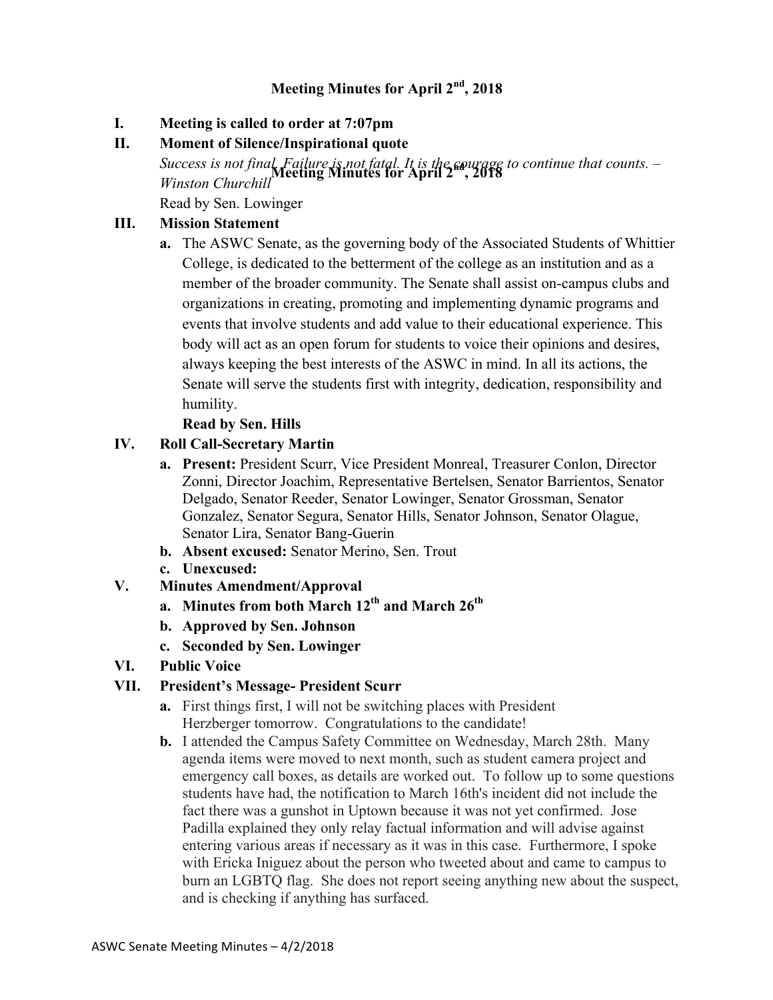# **Meeting Minutes for April 2nd, 2018**

#### **I. Meeting is called to order at 7:07pm**

## **II. Moment of Silence/Inspirational quote**

Success is not final. Failure is not fatal. It is the courage to continue that counts. –<br>*We are all different* **Minutes for April 2<sup>1</sup>, 2018** *Winston Churchill*

Read by Sen. Lowinger

## **III. Mission Statement**

**a.** The ASWC Senate, as the governing body of the Associated Students of Whittier College, is dedicated to the betterment of the college as an institution and as a member of the broader community. The Senate shall assist on-campus clubs and organizations in creating, promoting and implementing dynamic programs and events that involve students and add value to their educational experience. This body will act as an open forum for students to voice their opinions and desires, always keeping the best interests of the ASWC in mind. In all its actions, the Senate will serve the students first with integrity, dedication, responsibility and humility.

#### **Read by Sen. Hills**

#### **IV. Roll Call-Secretary Martin**

- **a. Present:** President Scurr, Vice President Monreal, Treasurer Conlon, Director Zonni, Director Joachim, Representative Bertelsen, Senator Barrientos, Senator Delgado, Senator Reeder, Senator Lowinger, Senator Grossman, Senator Gonzalez, Senator Segura, Senator Hills, Senator Johnson, Senator Olague, Senator Lira, Senator Bang-Guerin
- **b. Absent excused:** Senator Merino, Sen. Trout
- **c. Unexcused:**
- **V. Minutes Amendment/Approval**
	- **a. Minutes from both March 12th and March 26th**
	- **b. Approved by Sen. Johnson**
	- **c. Seconded by Sen. Lowinger**
- **VI. Public Voice**

# **VII. President's Message- President Scurr**

- **a.** First things first, I will not be switching places with President Herzberger tomorrow. Congratulations to the candidate!
- **b.** I attended the Campus Safety Committee on Wednesday, March 28th. Many agenda items were moved to next month, such as student camera project and emergency call boxes, as details are worked out. To follow up to some questions students have had, the notification to March 16th's incident did not include the fact there was a gunshot in Uptown because it was not yet confirmed. Jose Padilla explained they only relay factual information and will advise against entering various areas if necessary as it was in this case. Furthermore, I spoke with Ericka Iniguez about the person who tweeted about and came to campus to burn an LGBTQ flag. She does not report seeing anything new about the suspect, and is checking if anything has surfaced.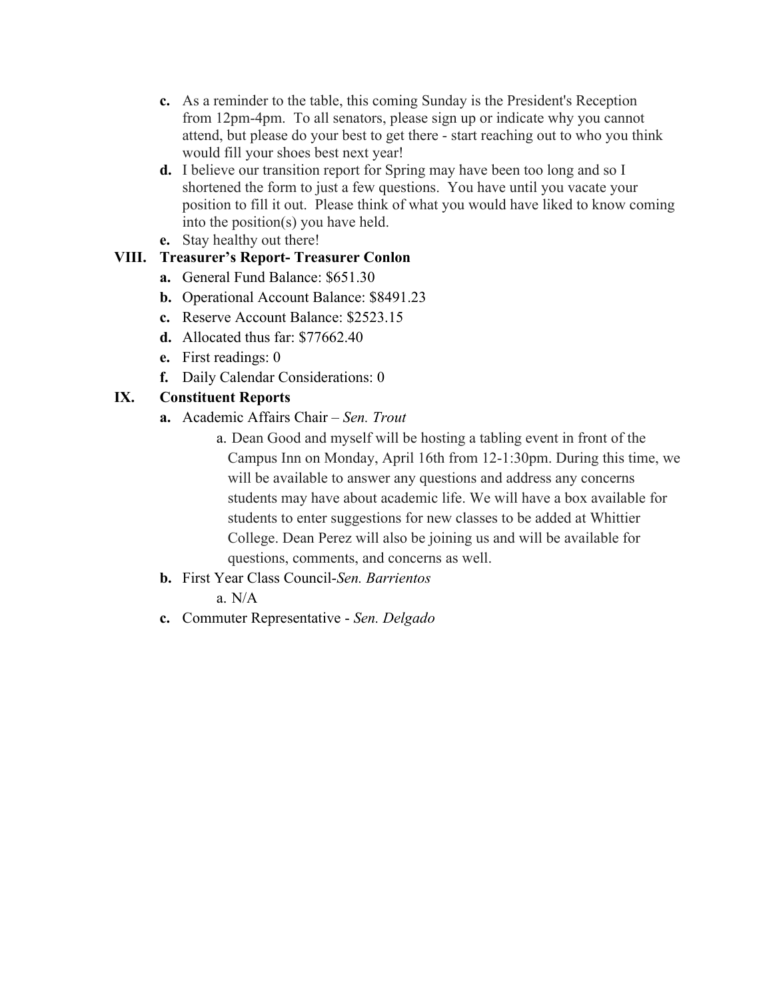- **c.** As a reminder to the table, this coming Sunday is the President's Reception from 12pm-4pm. To all senators, please sign up or indicate why you cannot attend, but please do your best to get there - start reaching out to who you think would fill your shoes best next year!
- **d.** I believe our transition report for Spring may have been too long and so I shortened the form to just a few questions. You have until you vacate your position to fill it out. Please think of what you would have liked to know coming into the position(s) you have held.
- **e.** Stay healthy out there!

#### **VIII. Treasurer's Report- Treasurer Conlon**

- **a.** General Fund Balance: \$651.30
- **b.** Operational Account Balance: \$8491.23
- **c.** Reserve Account Balance: \$2523.15
- **d.** Allocated thus far: \$77662.40
- **e.** First readings: 0
- **f.** Daily Calendar Considerations: 0

#### **IX. Constituent Reports**

- **a.** Academic Affairs Chair *Sen. Trout*
	- a. Dean Good and myself will be hosting a tabling event in front of the Campus Inn on Monday, April 16th from 12-1:30pm. During this time, we will be available to answer any questions and address any concerns students may have about academic life. We will have a box available for students to enter suggestions for new classes to be added at Whittier College. Dean Perez will also be joining us and will be available for questions, comments, and concerns as well.
- **b.** First Year Class Council-*Sen. Barrientos*
	- a.  $N/A$
- **c.** Commuter Representative *Sen. Delgado*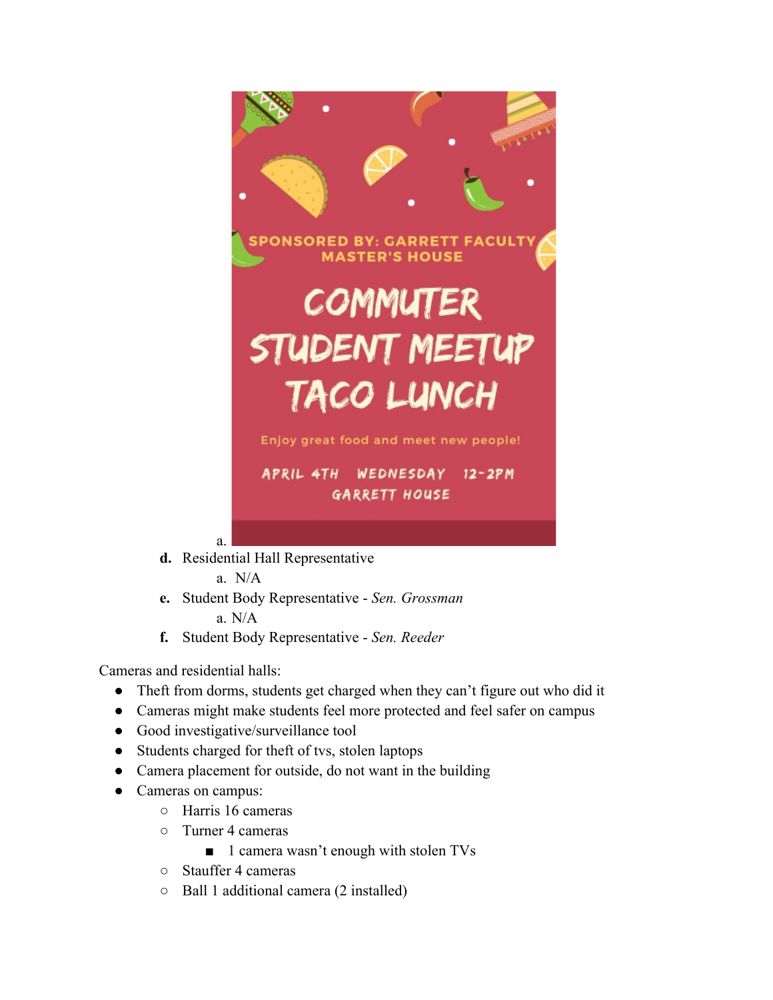

**d.** Residential Hall Representative

a.N/A

- **e.** Student Body Representative *Sen. Grossman* a. N/A
- **f.** Student Body Representative *Sen. Reeder*

Cameras and residential halls:

- Theft from dorms, students get charged when they can't figure out who did it
- Cameras might make students feel more protected and feel safer on campus
- Good investigative/surveillance tool
- Students charged for theft of tvs, stolen laptops
- Camera placement for outside, do not want in the building
- Cameras on campus:
	- Harris 16 cameras
	- Turner 4 cameras
		- 1 camera wasn't enough with stolen TVs
	- Stauffer 4 cameras
	- Ball 1 additional camera (2 installed)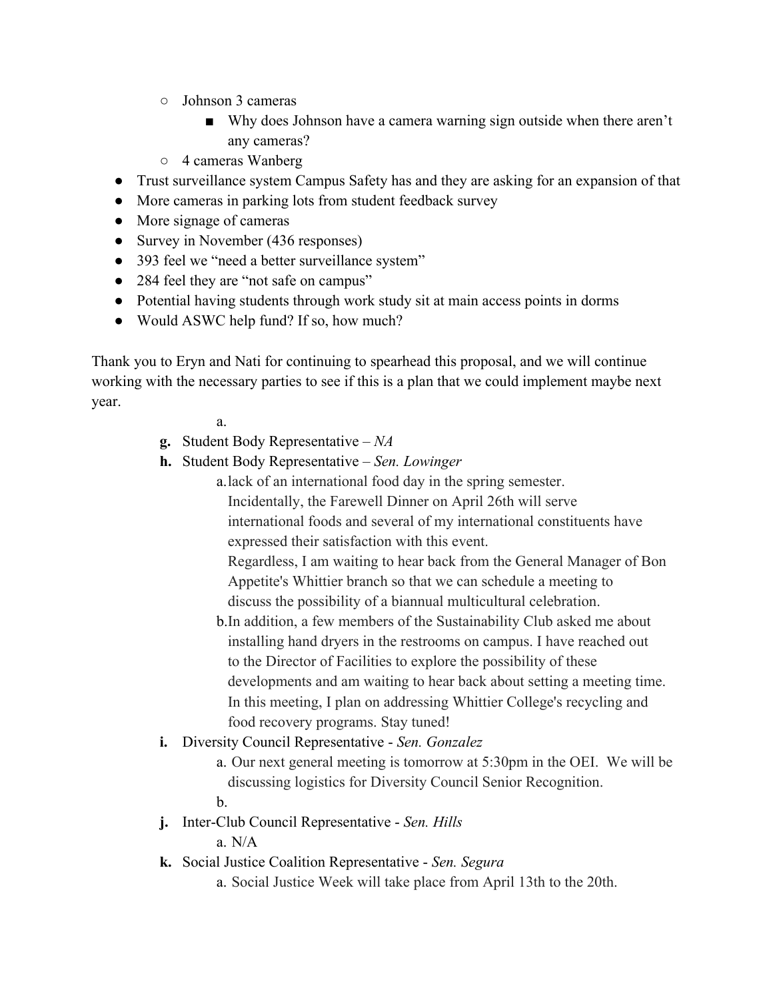- Johnson 3 cameras
	- Why does Johnson have a camera warning sign outside when there aren't any cameras?
- 4 cameras Wanberg
- Trust surveillance system Campus Safety has and they are asking for an expansion of that
- More cameras in parking lots from student feedback survey
- More signage of cameras
- Survey in November (436 responses)
- 393 feel we "need a better surveillance system"
- 284 feel they are "not safe on campus"
- Potential having students through work study sit at main access points in dorms
- Would ASWC help fund? If so, how much?

Thank you to Eryn and Nati for continuing to spearhead this proposal, and we will continue working with the necessary parties to see if this is a plan that we could implement maybe next year.

a.

- **g.** Student Body Representative *NA*
- **h.** Student Body Representative *Sen. Lowinger*
	- a.lack of an international food day in the spring semester.
		- Incidentally, the Farewell Dinner on April 26th will serve

international foods and several of my international constituents have expressed their satisfaction with this event.

Regardless, I am waiting to hear back from the General Manager of Bon Appetite's Whittier branch so that we can schedule a meeting to discuss the possibility of a biannual multicultural celebration.

- b.In addition, a few members of the Sustainability Club asked me about installing hand dryers in the restrooms on campus. I have reached out to the Director of Facilities to explore the possibility of these developments and am waiting to hear back about setting a meeting time. In this meeting, I plan on addressing Whittier College's recycling and food recovery programs. Stay tuned!
- **i.** Diversity Council Representative *Sen. Gonzalez*
	- a. Our next general meeting is tomorrow at 5:30pm in the OEI. We will be discussing logistics for Diversity Council Senior Recognition. b.
- **j.** Inter-Club Council Representative *Sen. Hills*

a. N/A

- **k.** Social Justice Coalition Representative *Sen. Segura*
	- a. Social Justice Week will take place from April 13th to the 20th.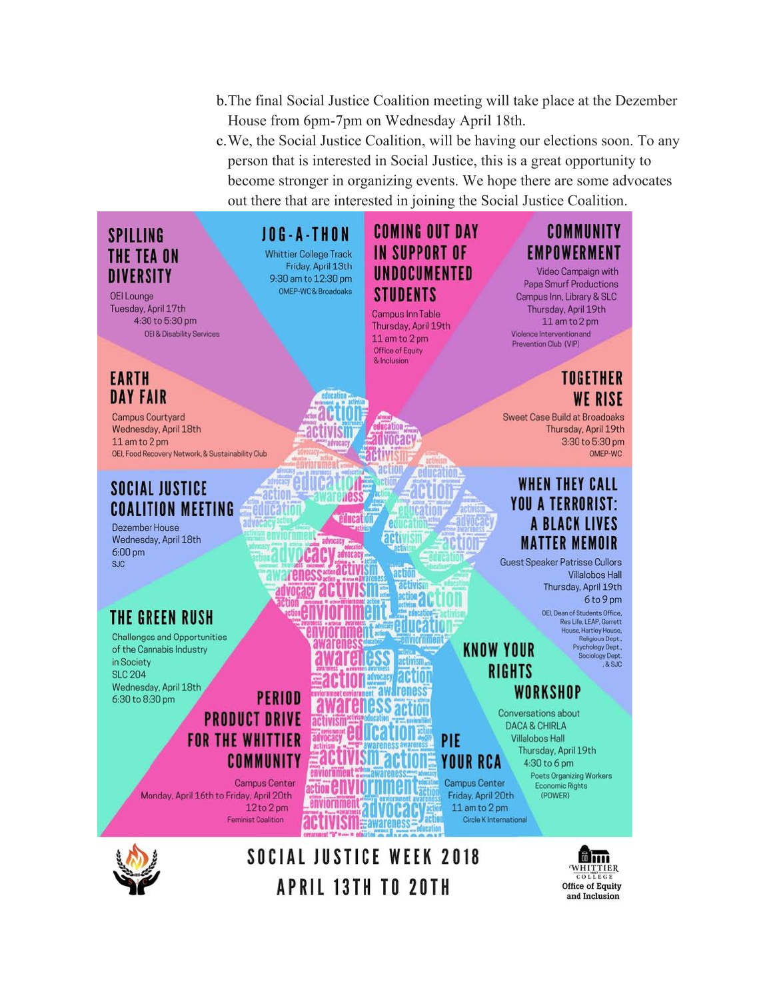- b.The final Social Justice Coalition meeting will take place at the Dezember House from 6pm-7pm on Wednesday April 18th.
- c.We, the Social Justice Coalition, will be having our elections soon. To any person that is interested in Social Justice, this is a great opportunity to become stronger in organizing events. We hope there are some advocates out there that are interested in joining the Social Justice Coalition.

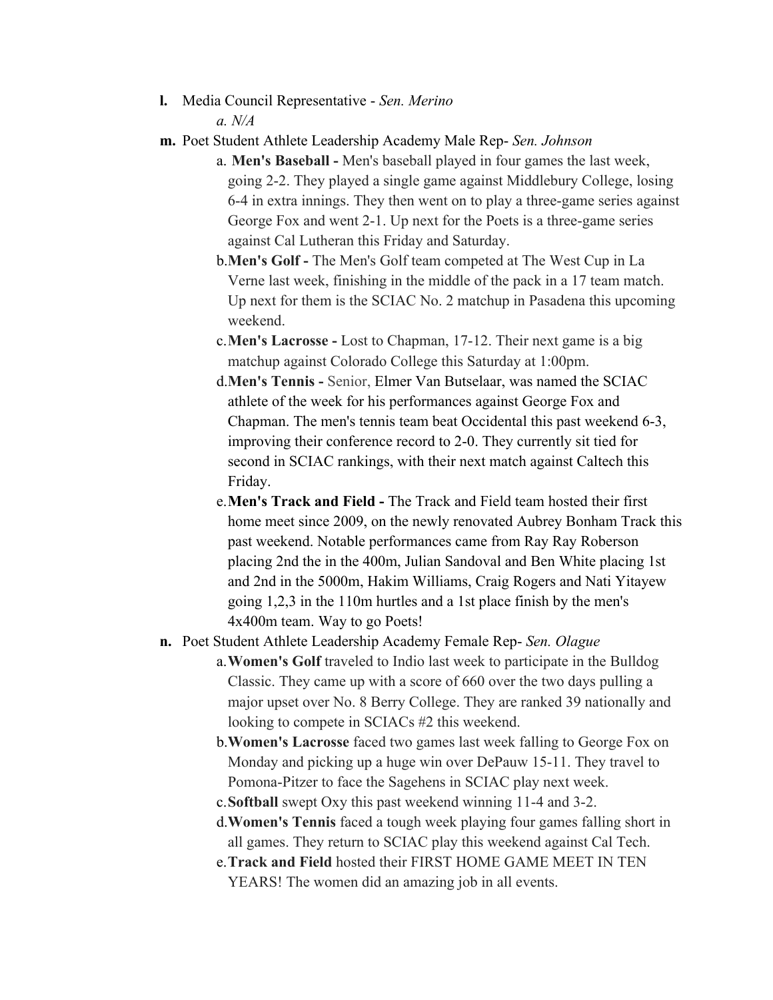- **l.** Media Council Representative *Sen. Merino a. N/A*
- **m.** Poet Student Athlete Leadership Academy Male Rep- *Sen. Johnson*
	- a. **Men's Baseball -** Men's baseball played in four games the last week, going 2-2. They played a single game against Middlebury College, losing 6-4 in extra innings. They then went on to play a three-game series against George Fox and went 2-1. Up next for the Poets is a three-game series against Cal Lutheran this Friday and Saturday.
	- b.**Men's Golf -** The Men's Golf team competed at The West Cup in La Verne last week, finishing in the middle of the pack in a 17 team match. Up next for them is the SCIAC No. 2 matchup in Pasadena this upcoming weekend.
	- c.**Men's Lacrosse -** Lost to Chapman, 17-12. Their next game is a big matchup against Colorado College this Saturday at 1:00pm.
	- d.**Men's Tennis -** Senior, Elmer Van Butselaar, was named the SCIAC athlete of the week for his performances against George Fox and Chapman. The men's tennis team beat Occidental this past weekend 6-3, improving their conference record to 2-0. They currently sit tied for second in SCIAC rankings, with their next match against Caltech this Friday.
	- e.**Men's Track and Field -** The Track and Field team hosted their first home meet since 2009, on the newly renovated Aubrey Bonham Track this past weekend. Notable performances came from Ray Ray Roberson placing 2nd the in the 400m, Julian Sandoval and Ben White placing 1st and 2nd in the 5000m, Hakim Williams, Craig Rogers and Nati Yitayew going 1,2,3 in the 110m hurtles and a 1st place finish by the men's 4x400m team. Way to go Poets!
- **n.** Poet Student Athlete Leadership Academy Female Rep- *Sen. Olague*
	- a.**Women's Golf** traveled to Indio last week to participate in the Bulldog Classic. They came up with a score of 660 over the two days pulling a major upset over No. 8 Berry College. They are ranked 39 nationally and looking to compete in SCIACs #2 this weekend.
	- b.**Women's Lacrosse** faced two games last week falling to George Fox on Monday and picking up a huge win over DePauw 15-11. They travel to Pomona-Pitzer to face the Sagehens in SCIAC play next week.
	- c.**Softball** swept Oxy this past weekend winning 11-4 and 3-2.
	- d.**Women's Tennis** faced a tough week playing four games falling short in all games. They return to SCIAC play this weekend against Cal Tech.
	- e.**Track and Field** hosted their FIRST HOME GAME MEET IN TEN YEARS! The women did an amazing job in all events.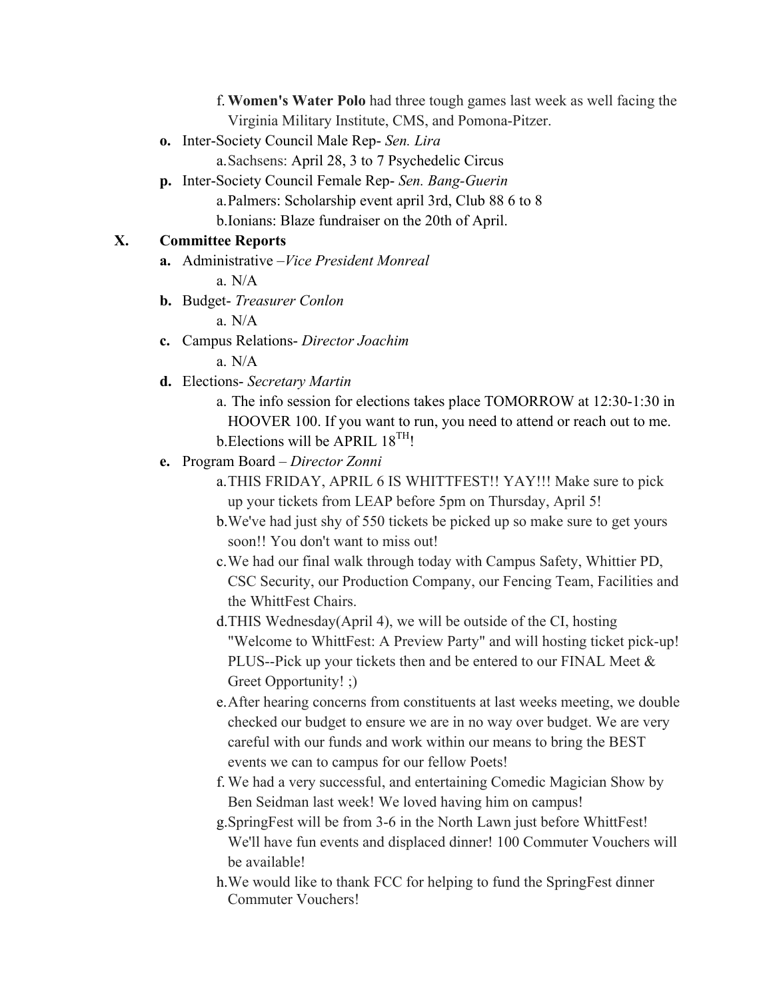f.**Women's Water Polo** had three tough games last week as well facing the Virginia Military Institute, CMS, and Pomona-Pitzer.

**o.** Inter-Society Council Male Rep- *Sen. Lira*

a.Sachsens: April 28, 3 to 7 Psychedelic Circus

**p.** Inter-Society Council Female Rep- *Sen. Bang-Guerin* a.Palmers: Scholarship event april 3rd, Club 88 6 to 8 b.Ionians: Blaze fundraiser on the 20th of April.

#### **X. Committee Reports**

**a.** Administrative –*Vice President Monreal*

a.  $N/A$ 

**b.** Budget- *Treasurer Conlon*

a. N/A

**c.** Campus Relations- *Director Joachim*

a. N/A

- **d.** Elections- *Secretary Martin*
	- a. The info session for elections takes place TOMORROW at 12:30-1:30 in HOOVER 100. If you want to run, you need to attend or reach out to me. b. Elections will be APRIL  $18^{TH}$ !
- **e.** Program Board *Director Zonni*
	- a.THIS FRIDAY, APRIL 6 IS WHITTFEST!! YAY!!! Make sure to pick up your tickets from LEAP before 5pm on Thursday, April 5!
	- b.We've had just shy of 550 tickets be picked up so make sure to get yours soon!! You don't want to miss out!
	- c.We had our final walk through today with Campus Safety, Whittier PD, CSC Security, our Production Company, our Fencing Team, Facilities and the WhittFest Chairs.
	- d.THIS Wednesday(April 4), we will be outside of the CI, hosting "Welcome to WhittFest: A Preview Party" and will hosting ticket pick-up! PLUS--Pick up your tickets then and be entered to our FINAL Meet & Greet Opportunity! ;)
	- e.After hearing concerns from constituents at last weeks meeting, we double checked our budget to ensure we are in no way over budget. We are very careful with our funds and work within our means to bring the BEST events we can to campus for our fellow Poets!
	- f. We had a very successful, and entertaining Comedic Magician Show by Ben Seidman last week! We loved having him on campus!
	- g.SpringFest will be from 3-6 in the North Lawn just before WhittFest! We'll have fun events and displaced dinner! 100 Commuter Vouchers will be available!
	- h.We would like to thank FCC for helping to fund the SpringFest dinner Commuter Vouchers!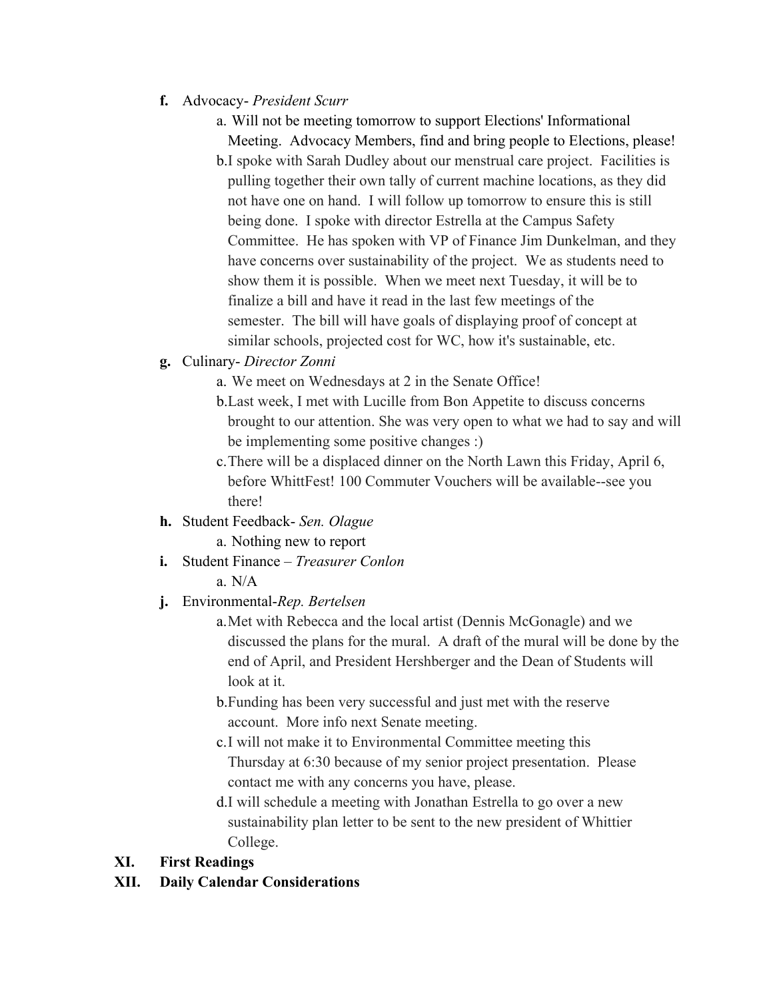- **f.** Advocacy- *President Scurr*
	- a. Will not be meeting tomorrow to support Elections' Informational

Meeting. Advocacy Members, find and bring people to Elections, please! b.I spoke with Sarah Dudley about our menstrual care project. Facilities is pulling together their own tally of current machine locations, as they did not have one on hand. I will follow up tomorrow to ensure this is still being done. I spoke with director Estrella at the Campus Safety Committee. He has spoken with VP of Finance Jim Dunkelman, and they have concerns over sustainability of the project. We as students need to show them it is possible. When we meet next Tuesday, it will be to finalize a bill and have it read in the last few meetings of the semester. The bill will have goals of displaying proof of concept at similar schools, projected cost for WC, how it's sustainable, etc.

- **g.** Culinary- *Director Zonni*
	- a. We meet on Wednesdays at 2 in the Senate Office!
	- b.Last week, I met with Lucille from Bon Appetite to discuss concerns brought to our attention. She was very open to what we had to say and will be implementing some positive changes :)
	- c.There will be a displaced dinner on the North Lawn this Friday, April 6, before WhittFest! 100 Commuter Vouchers will be available--see you there!
- **h.** Student Feedback- *Sen. Olague* 
	- a. Nothing new to report
- **i.** Student Finance *Treasurer Conlon* a. N/A
	-
- **j.** Environmental-*Rep. Bertelsen*
	- a.Met with Rebecca and the local artist (Dennis McGonagle) and we discussed the plans for the mural. A draft of the mural will be done by the end of April, and President Hershberger and the Dean of Students will look at it.
	- b.Funding has been very successful and just met with the reserve account. More info next Senate meeting.
	- c.I will not make it to Environmental Committee meeting this Thursday at 6:30 because of my senior project presentation. Please contact me with any concerns you have, please.
	- d.I will schedule a meeting with Jonathan Estrella to go over a new sustainability plan letter to be sent to the new president of Whittier College.

# **XI. First Readings**

**XII. Daily Calendar Considerations**